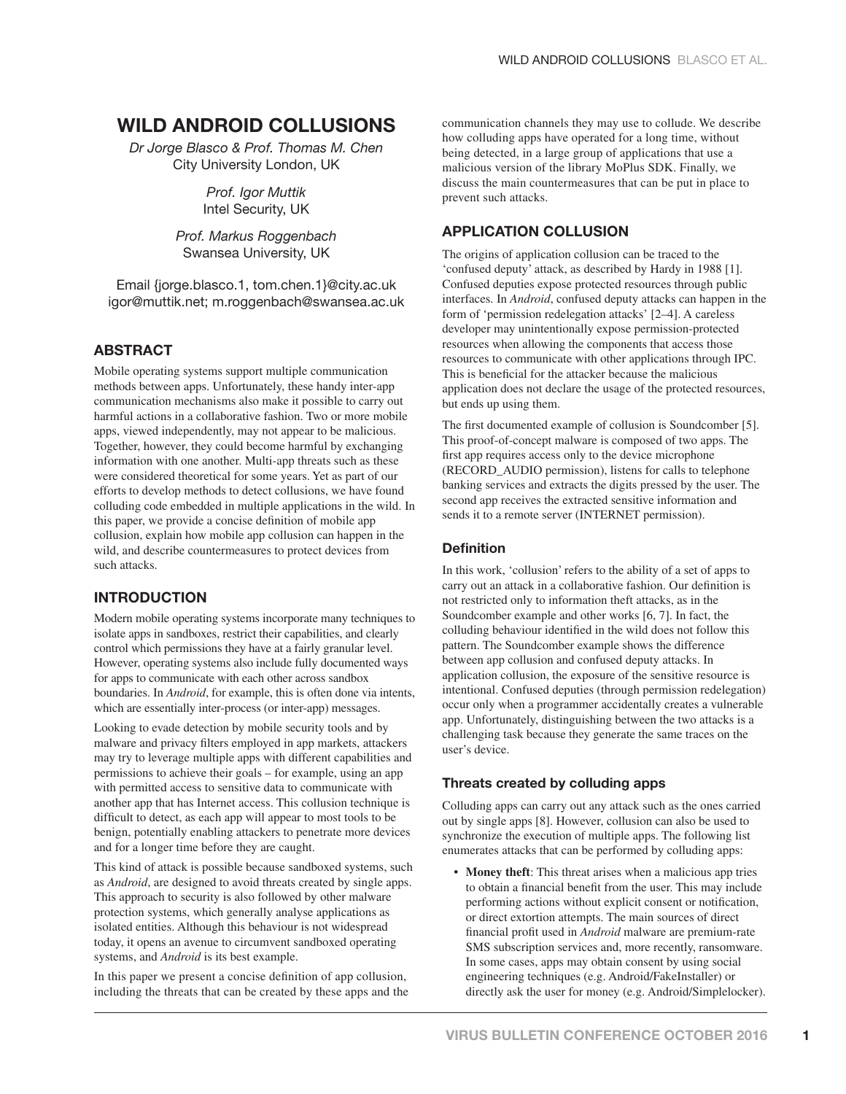# **WILD ANDROID COLLUSIONS**

*Dr Jorge Blasco & Prof. Thomas M. Chen* City University London, UK

> *Prof. Igor Muttik*  Intel Security, UK

*Prof. Markus Roggenbach* Swansea University, UK

Email {jorge.blasco.1, tom.chen.1}@city.ac.uk igor@muttik.net; m.roggenbach@swansea.ac.uk

# **ABSTRACT**

Mobile operating systems support multiple communication methods between apps. Unfortunately, these handy inter-app communication mechanisms also make it possible to carry out harmful actions in a collaborative fashion. Two or more mobile apps, viewed independently, may not appear to be malicious. Together, however, they could become harmful by exchanging information with one another. Multi-app threats such as these were considered theoretical for some years. Yet as part of our efforts to develop methods to detect collusions, we have found colluding code embedded in multiple applications in the wild. In this paper, we provide a concise definition of mobile app collusion, explain how mobile app collusion can happen in the wild, and describe countermeasures to protect devices from such attacks.

# **INTRODUCTION**

Modern mobile operating systems incorporate many techniques to isolate apps in sandboxes, restrict their capabilities, and clearly control which permissions they have at a fairly granular level. However, operating systems also include fully documented ways for apps to communicate with each other across sandbox boundaries. In *Android*, for example, this is often done via intents, which are essentially inter-process (or inter-app) messages.

Looking to evade detection by mobile security tools and by malware and privacy filters employed in app markets, attackers may try to leverage multiple apps with different capabilities and permissions to achieve their goals – for example, using an app with permitted access to sensitive data to communicate with another app that has Internet access. This collusion technique is difficult to detect, as each app will appear to most tools to be benign, potentially enabling attackers to penetrate more devices and for a longer time before they are caught.

This kind of attack is possible because sandboxed systems, such as *Android*, are designed to avoid threats created by single apps. This approach to security is also followed by other malware protection systems, which generally analyse applications as isolated entities. Although this behaviour is not widespread today, it opens an avenue to circumvent sandboxed operating systems, and *Android* is its best example.

In this paper we present a concise definition of app collusion, including the threats that can be created by these apps and the

communication channels they may use to collude. We describe how colluding apps have operated for a long time, without being detected, in a large group of applications that use a malicious version of the library MoPlus SDK. Finally, we discuss the main countermeasures that can be put in place to prevent such attacks.

# **APPLICATION COLLUSION**

The origins of application collusion can be traced to the 'confused deputy' attack, as described by Hardy in 1988 [1]. Confused deputies expose protected resources through public interfaces. In *Android*, confused deputy attacks can happen in the form of 'permission redelegation attacks' [2–4]. A careless developer may unintentionally expose permission-protected resources when allowing the components that access those resources to communicate with other applications through IPC. This is beneficial for the attacker because the malicious application does not declare the usage of the protected resources, but ends up using them.

The first documented example of collusion is Soundcomber [5]. This proof-of-concept malware is composed of two apps. The first app requires access only to the device microphone (RECORD\_AUDIO permission), listens for calls to telephone banking services and extracts the digits pressed by the user. The second app receives the extracted sensitive information and sends it to a remote server (INTERNET permission).

## **Definition**

In this work, 'collusion' refers to the ability of a set of apps to carry out an attack in a collaborative fashion. Our definition is not restricted only to information theft attacks, as in the Soundcomber example and other works [6, 7]. In fact, the colluding behaviour identified in the wild does not follow this pattern. The Soundcomber example shows the difference between app collusion and confused deputy attacks. In application collusion, the exposure of the sensitive resource is intentional. Confused deputies (through permission redelegation) occur only when a programmer accidentally creates a vulnerable app. Unfortunately, distinguishing between the two attacks is a challenging task because they generate the same traces on the user's device.

## **Threats created by colluding apps**

Colluding apps can carry out any attack such as the ones carried out by single apps [8]. However, collusion can also be used to synchronize the execution of multiple apps. The following list enumerates attacks that can be performed by colluding apps:

**Money theft:** This threat arises when a malicious app tries to obtain a financial benefit from the user. This may include performing actions without explicit consent or notification, or direct extortion attempts. The main sources of direct financial profit used in *Android* malware are premium-rate SMS subscription services and, more recently, ransomware. In some cases, apps may obtain consent by using social engineering techniques (e.g. Android/FakeInstaller) or directly ask the user for money (e.g. Android/Simplelocker).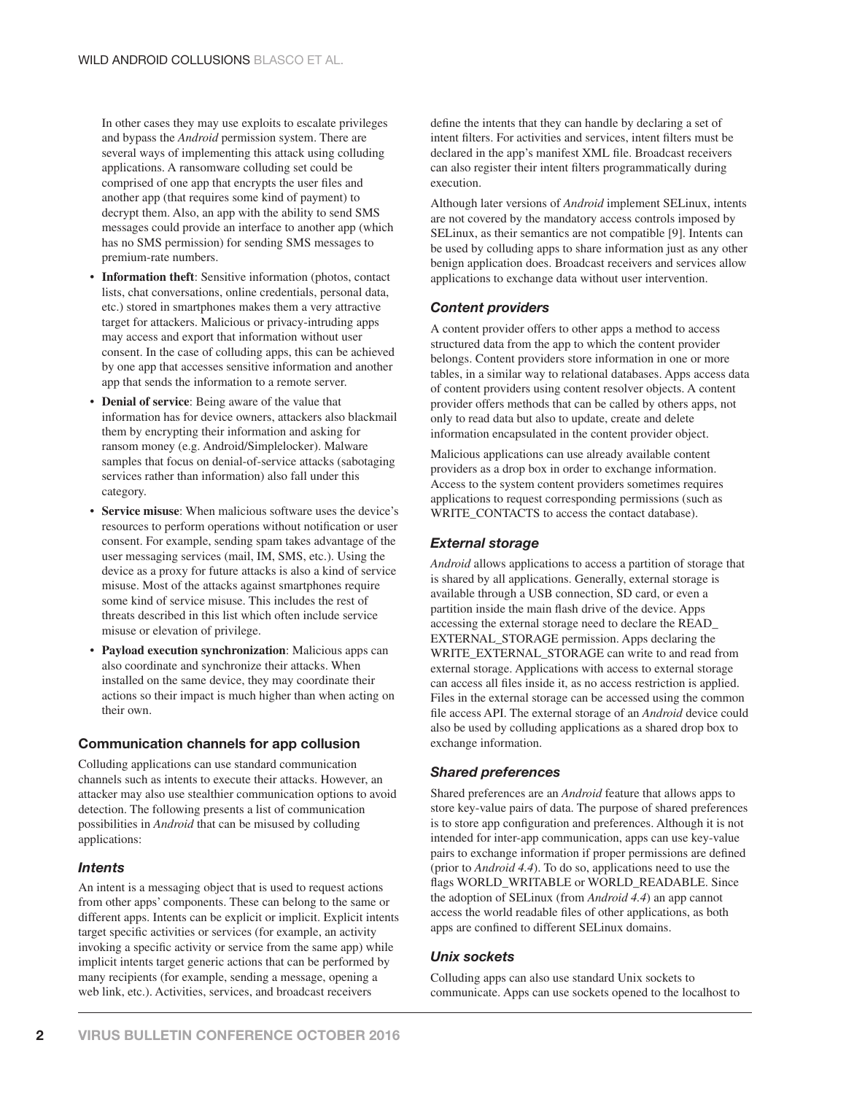In other cases they may use exploits to escalate privileges and bypass the *Android* permission system. There are several ways of implementing this attack using colluding applications. A ransomware colluding set could be comprised of one app that encrypts the user files and another app (that requires some kind of payment) to decrypt them. Also, an app with the ability to send SMS messages could provide an interface to another app (which has no SMS permission) for sending SMS messages to premium-rate numbers.

- **Information theft:** Sensitive information (photos, contact lists, chat conversations, online credentials, personal data, etc.) stored in smartphones makes them a very attractive target for attackers. Malicious or privacy-intruding apps may access and export that information without user consent. In the case of colluding apps, this can be achieved by one app that accesses sensitive information and another app that sends the information to a remote server.
- **Denial of service**: Being aware of the value that information has for device owners, attackers also blackmail them by encrypting their information and asking for ransom money (e.g. Android/Simplelocker). Malware samples that focus on denial-of-service attacks (sabotaging services rather than information) also fall under this category.
- **Service misuse:** When malicious software uses the device's resources to perform operations without notification or user consent. For example, sending spam takes advantage of the user messaging services (mail, IM, SMS, etc.). Using the device as a proxy for future attacks is also a kind of service misuse. Most of the attacks against smartphones require some kind of service misuse. This includes the rest of threats described in this list which often include service misuse or elevation of privilege.
- **Payload execution synchronization**: Malicious apps can also coordinate and synchronize their attacks. When installed on the same device, they may coordinate their actions so their impact is much higher than when acting on their own.

#### **Communication channels for app collusion**

Colluding applications can use standard communication channels such as intents to execute their attacks. However, an attacker may also use stealthier communication options to avoid detection. The following presents a list of communication possibilities in *Android* that can be misused by colluding applications:

#### *Intents*

An intent is a messaging object that is used to request actions from other apps' components. These can belong to the same or different apps. Intents can be explicit or implicit. Explicit intents target specific activities or services (for example, an activity invoking a specific activity or service from the same app) while implicit intents target generic actions that can be performed by many recipients (for example, sending a message, opening a web link, etc.). Activities, services, and broadcast receivers

define the intents that they can handle by declaring a set of intent filters. For activities and services, intent filters must be declared in the app's manifest XML file. Broadcast receivers can also register their intent filters programmatically during execution.

Although later versions of *Android* implement SELinux, intents are not covered by the mandatory access controls imposed by SELinux, as their semantics are not compatible [9]. Intents can be used by colluding apps to share information just as any other benign application does. Broadcast receivers and services allow applications to exchange data without user intervention.

#### *Content providers*

A content provider offers to other apps a method to access structured data from the app to which the content provider belongs. Content providers store information in one or more tables, in a similar way to relational databases. Apps access data of content providers using content resolver objects. A content provider offers methods that can be called by others apps, not only to read data but also to update, create and delete information encapsulated in the content provider object.

Malicious applications can use already available content providers as a drop box in order to exchange information. Access to the system content providers sometimes requires applications to request corresponding permissions (such as WRITE\_CONTACTS to access the contact database).

#### *External storage*

*Android* allows applications to access a partition of storage that is shared by all applications. Generally, external storage is available through a USB connection, SD card, or even a partition inside the main flash drive of the device. Apps accessing the external storage need to declare the READ\_ EXTERNAL\_STORAGE permission. Apps declaring the WRITE\_EXTERNAL\_STORAGE can write to and read from external storage. Applications with access to external storage can access all files inside it, as no access restriction is applied. Files in the external storage can be accessed using the common file access API. The external storage of an *Android* device could also be used by colluding applications as a shared drop box to exchange information.

#### *Shared preferences*

Shared preferences are an *Android* feature that allows apps to store key-value pairs of data. The purpose of shared preferences is to store app configuration and preferences. Although it is not intended for inter-app communication, apps can use key-value pairs to exchange information if proper permissions are defined (prior to *Android 4.4*). To do so, applications need to use the flags WORLD\_WRITABLE or WORLD\_READABLE. Since the adoption of SELinux (from *Android 4.4*) an app cannot access the world readable files of other applications, as both apps are confined to different SELinux domains.

#### *Unix sockets*

Colluding apps can also use standard Unix sockets to communicate. Apps can use sockets opened to the localhost to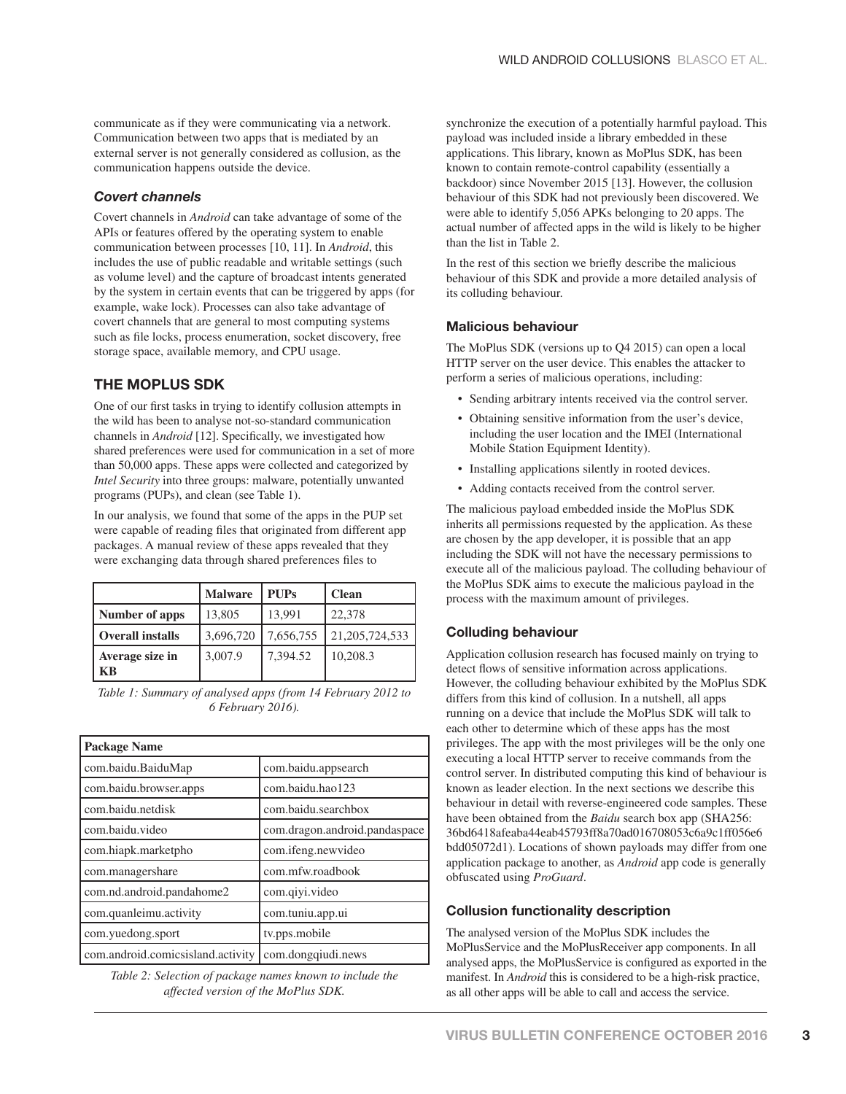communicate as if they were communicating via a network. Communication between two apps that is mediated by an external server is not generally considered as collusion, as the communication happens outside the device.

#### *Covert channels*

Covert channels in *Android* can take advantage of some of the APIs or features offered by the operating system to enable communication between processes [10, 11]. In *Android*, this includes the use of public readable and writable settings (such as volume level) and the capture of broadcast intents generated by the system in certain events that can be triggered by apps (for example, wake lock). Processes can also take advantage of covert channels that are general to most computing systems such as file locks, process enumeration, socket discovery, free storage space, available memory, and CPU usage.

# **THE MOPLUS SDK**

One of our first tasks in trying to identify collusion attempts in the wild has been to analyse not-so-standard communication channels in *Android* [12]. Specifically, we investigated how shared preferences were used for communication in a set of more than 50,000 apps. These apps were collected and categorized by *Intel Security* into three groups: malware, potentially unwanted programs (PUPs), and clean (see Table 1).

In our analysis, we found that some of the apps in the PUP set were capable of reading files that originated from different app packages. A manual review of these apps revealed that they were exchanging data through shared preferences files to

|                         | <b>Malware</b> | <b>PUPs</b> | <b>Clean</b>      |
|-------------------------|----------------|-------------|-------------------|
| Number of apps          | 13,805         | 13,991      | 22,378            |
| <b>Overall installs</b> | 3,696,720      | 7,656,755   | 21, 205, 724, 533 |
| Average size in<br>КB   | 3,007.9        | 7,394.52    | 10,208.3          |

 *Table 1: Summary of analysed apps (from 14 February 2012 to 6 February 2016).*

| <b>Package Name</b>               |                               |  |
|-----------------------------------|-------------------------------|--|
| com.baidu.BaiduMap                | com.baidu.appsearch           |  |
| com.baidu.browser.apps            | com.baidu.hao123              |  |
| com.baidu.netdisk                 | com.baidu.searchbox           |  |
| com.baidu.video                   | com.dragon.android.pandaspace |  |
| com.hiapk.marketpho               | com.ifeng.newvideo            |  |
| com.managershare                  | com.mfw.roadbook              |  |
| com.nd.android.pandahome2         | com.qiyi.video                |  |
| com.quanleimu.activity            | com.tuniu.app.ui              |  |
| com.yuedong.sport                 | tv.pps.mobile                 |  |
| com.android.comicsisland.activity | com.dongqiudi.news            |  |

 *Table 2: Selection of package names known to include the affected version of the MoPlus SDK.*

synchronize the execution of a potentially harmful payload. This payload was included inside a library embedded in these applications. This library, known as MoPlus SDK, has been known to contain remote-control capability (essentially a backdoor) since November 2015 [13]. However, the collusion behaviour of this SDK had not previously been discovered. We were able to identify 5,056 APKs belonging to 20 apps. The actual number of affected apps in the wild is likely to be higher than the list in Table 2.

In the rest of this section we briefly describe the malicious behaviour of this SDK and provide a more detailed analysis of its colluding behaviour.

#### **Malicious behaviour**

The MoPlus SDK (versions up to Q4 2015) can open a local HTTP server on the user device. This enables the attacker to perform a series of malicious operations, including:

- Sending arbitrary intents received via the control server.
- Obtaining sensitive information from the user's device, including the user location and the IMEI (International Mobile Station Equipment Identity).
- Installing applications silently in rooted devices.
- Adding contacts received from the control server.

The malicious payload embedded inside the MoPlus SDK inherits all permissions requested by the application. As these are chosen by the app developer, it is possible that an app including the SDK will not have the necessary permissions to execute all of the malicious payload. The colluding behaviour of the MoPlus SDK aims to execute the malicious payload in the process with the maximum amount of privileges.

## **Colluding behaviour**

Application collusion research has focused mainly on trying to detect flows of sensitive information across applications. However, the colluding behaviour exhibited by the MoPlus SDK differs from this kind of collusion. In a nutshell, all apps running on a device that include the MoPlus SDK will talk to each other to determine which of these apps has the most privileges. The app with the most privileges will be the only one executing a local HTTP server to receive commands from the control server. In distributed computing this kind of behaviour is known as leader election. In the next sections we describe this behaviour in detail with reverse-engineered code samples. These have been obtained from the *Baidu* search box app (SHA256: 36bd6418afeaba44eab45793ff8a70ad016708053c6a9c1ff056e6 bdd05072d1). Locations of shown payloads may differ from one application package to another, as *Android* app code is generally obfuscated using *ProGuard*.

## **Collusion functionality description**

The analysed version of the MoPlus SDK includes the MoPlusService and the MoPlusReceiver app components. In all analysed apps, the MoPlusService is configured as exported in the manifest. In *Android* this is considered to be a high-risk practice, as all other apps will be able to call and access the service.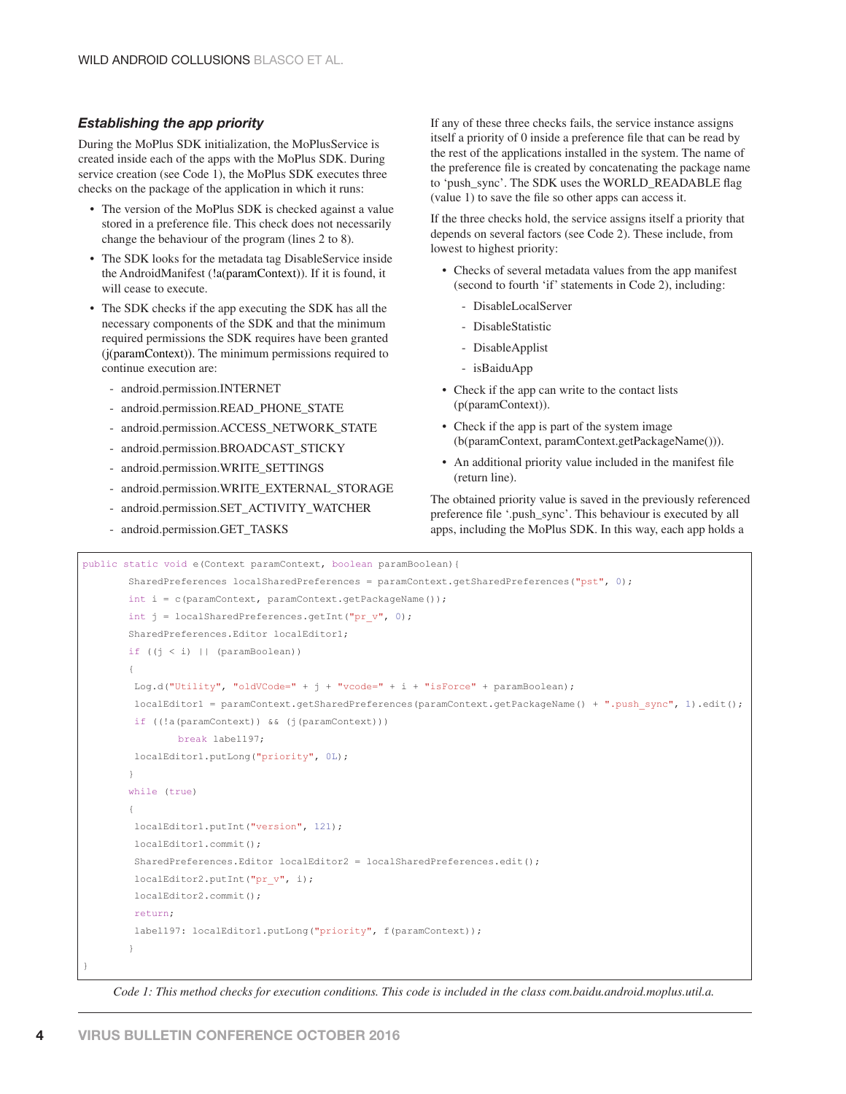#### *Establishing the app priority*

During the MoPlus SDK initialization, the MoPlusService is created inside each of the apps with the MoPlus SDK. During service creation (see Code 1), the MoPlus SDK executes three checks on the package of the application in which it runs:

- The version of the MoPlus SDK is checked against a value stored in a preference file. This check does not necessarily change the behaviour of the program (lines 2 to 8).
- The SDK looks for the metadata tag DisableService inside the AndroidManifest (!a(paramContext)). If it is found, it will cease to execute.
- The SDK checks if the app executing the SDK has all the necessary components of the SDK and that the minimum required permissions the SDK requires have been granted (j(paramContext)). The minimum permissions required to continue execution are:
	- android.permission.INTERNET
	- android.permission.READ\_PHONE\_STATE
	- android.permission.ACCESS\_NETWORK\_STATE
	- android.permission.BROADCAST\_STICKY
	- android.permission.WRITE\_SETTINGS
	- android.permission.WRITE\_EXTERNAL\_STORAGE
	- android.permission.SET\_ACTIVITY\_WATCHER
	- android.permission.GET\_TASKS

If any of these three checks fails, the service instance assigns itself a priority of 0 inside a preference file that can be read by the rest of the applications installed in the system. The name of the preference file is created by concatenating the package name to 'push\_sync'. The SDK uses the WORLD\_READABLE flag  $\alpha$  (value 1) to save the file so other apps can access it.

If the three checks hold, the service assigns itself a priority that depends on several factors (see Code 2). These include, from lowest to highest priority:

- Checks of several metadata values from the app manifest (second to fourth 'if' statements in Code 2), including:
	- DisableLocalServer
	- DisableStatistic
	- DisableApplist
	- isBaiduApp
- Check if the app can write to the contact lists (p(paramContext)).
- Check if the app is part of the system image (b(paramContext, paramContext.getPackageName())).
- An additional priority value included in the manifest file (return line).

The obtained priority value is saved in the previously referenced preference file '.push\_sync'. This behaviour is executed by all apps, including the MoPlus SDK. In this way, each app holds a

```
public static void e(Context paramContext, boolean paramBoolean){
           SharedPreferences localSharedPreferences = paramContext.getSharedPreferences("pst", 0);
          int i = c (paramContext, paramContext.getPackageName());
          int j = localSharedPreferences.getInt("pr v", 0);
           SharedPreferences.Editor localEditor1;
          if ((j \lt i) || (paramBoolean))\{Log.d("Utility", "oldVCode=" + j + "vcode=" + i + "isForce" + paramBoolean);
            localEditor1 = paramContext.getSharedPreferences(paramContext.getPackageName() + ".push_sync", 1).edit();
            if ((!a(paramContext)) && (j(paramContext)))
                      break label197;
            localEditor1.putLong("priority", 0L);
 }
          while (true)
\left\{ \begin{array}{cc} 0 & 0 & 0 \\ 0 & 0 & 0 \\ 0 & 0 & 0 \\ 0 & 0 & 0 \\ 0 & 0 & 0 \\ 0 & 0 & 0 \\ 0 & 0 & 0 \\ 0 & 0 & 0 \\ 0 & 0 & 0 \\ 0 & 0 & 0 \\ 0 & 0 & 0 \\ 0 & 0 & 0 \\ 0 & 0 & 0 & 0 \\ 0 & 0 & 0 & 0 \\ 0 & 0 & 0 & 0 \\ 0 & 0 & 0 & 0 & 0 \\ 0 & 0 & 0 & 0 & 0 \\ 0 & 0 & 0 & 0 & 0 \\ 0 & 0 & 0 & 0 & 0 \\ 0 & 0 localEditor1.putInt("version", 121);
            localEditor1.commit();
            SharedPreferences.Editor localEditor2 = localSharedPreferences.edit();
            localEditor2.putInt("pr_v", i);
            localEditor2.commit();
            return;
            label197: localEditor1.putLong("priority", f(paramContext));
 }
}
```
 *Code 1: This method checks for execution conditions. This code is included in the class com.baidu.android.moplus.util.a.*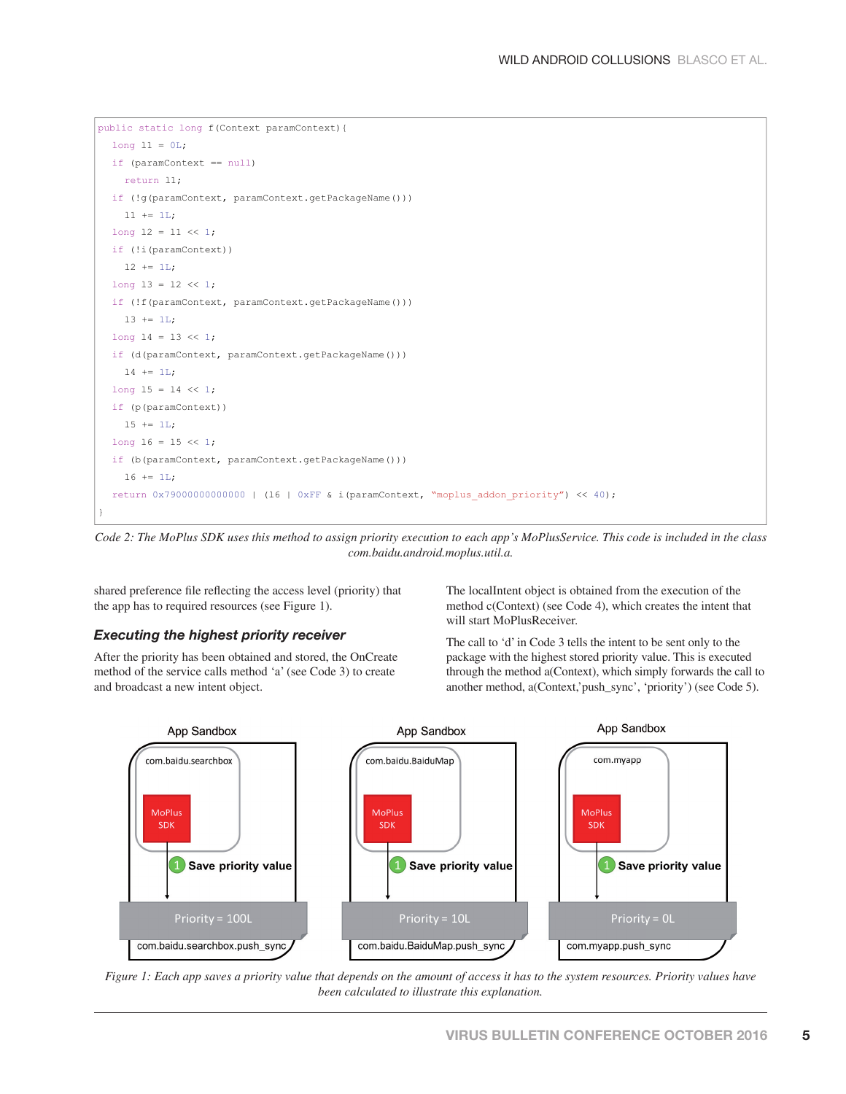```
public static long f(Context paramContext){
  long l1 = 0L;
  if (paramContext == null)
     return l1;
  if (!g(paramContext, paramContext.getPackageName()))
    l1 += 1L;
  long 12 = 11 \le x 1;if (!i(paramContext))
   12 \div 11;long 13 = 12 \le 1;if (!f(paramContext, paramContext.getPackageName()))
   13 += 1L;long 14 = 13 \le 1;if (d(paramContext, paramContext.getPackageName()))
    14 += 1L;
  long 15 = 14 \le 1;if (p(paramContext))
   15 + 11;
  long 16 = 15 \ll 1;if (b(paramContext, paramContext.getPackageName()))
     l6 += 1L;
  return 0x79000000000000 | (l6 | 0xFF & i(paramContext, "moplus_addon_priority") << 40);
}
```
*Code 2: The MoPlus SDK uses this method to assign priority execution to each app's MoPlusService. This code is included in the class com.baidu.android.moplus.util.a.*

shared preference file reflecting the access level (priority) that the app has to required resources (see Figure 1).

#### *Executing the highest priority receiver*

After the priority has been obtained and stored, the OnCreate method of the service calls method 'a' (see Code 3) to create and broadcast a new intent object.

The localIntent object is obtained from the execution of the method c(Context) (see Code 4), which creates the intent that will start MoPlusReceiver.

The call to 'd' in Code 3 tells the intent to be sent only to the package with the highest stored priority value. This is executed through the method a(Context), which simply forwards the call to another method, a(Context,'push\_sync', 'priority') (see Code 5).



*Figure 1: Each app saves a priority value that depends on the amount of access it has to the system resources. Priority values have been calculated to illustrate this explanation.*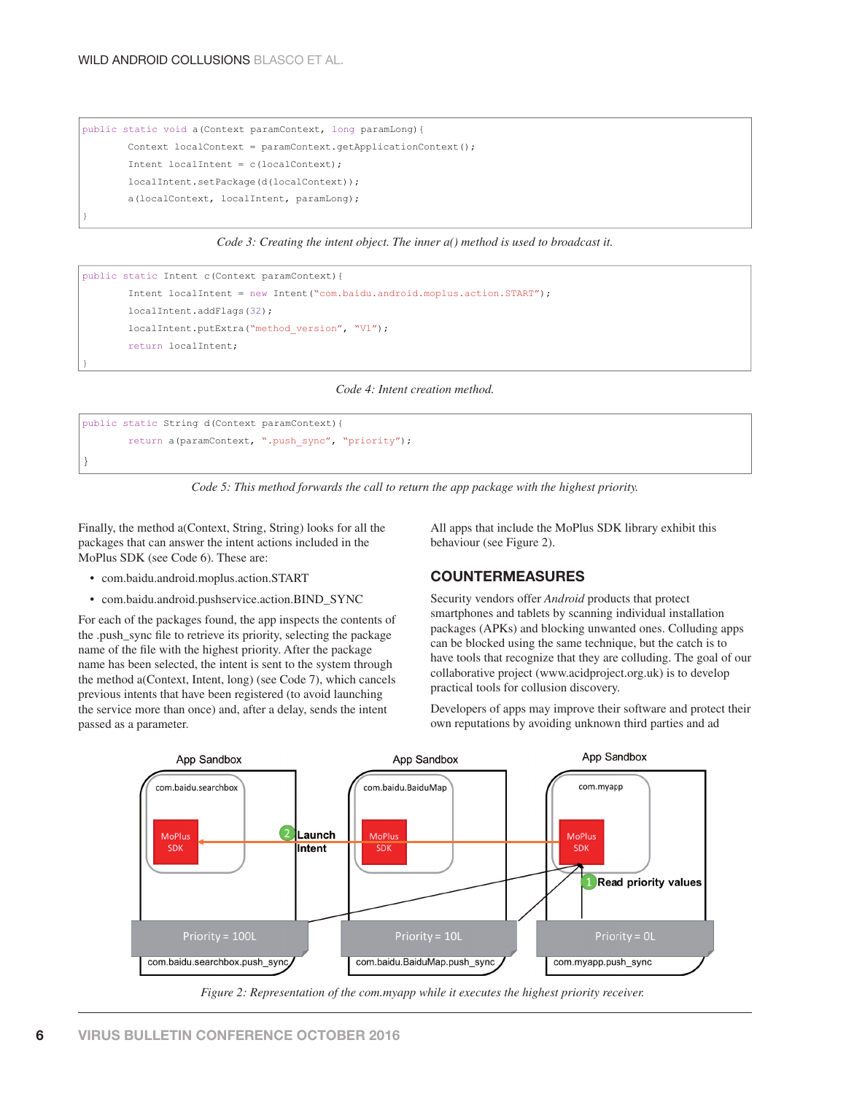```
public static void a(Context paramContext, long paramLong){
        Context localContext = paramContext.getApplicationContext();
        Intent localIntent = c(localContext);
        localIntent.setPackage(d(localContext));
        a(localContext, localIntent, paramLong);
}
```
*Code 3: Creating the intent object. The inner a() method is used to broadcast it.*

```
public static Intent c(Context paramContext){
        Intent localIntent = new Intent("com.baidu.android.moplus.action.START");
        localIntent.addFlags(32);
       localIntent.putExtra("method version", "V1");
       return localIntent;
```
*Code 4: Intent creation method.*

```
public static String d(Context paramContext){
       return a(paramContext, ".push_sync", "priority");
```
*Code 5: This method forwards the call to return the app package with the highest priority.*

Finally, the method a(Context, String, String) looks for all the packages that can answer the intent actions included in the MoPlus SDK (see Code 6). These are:

• com.baidu.android.moplus.action.START

}

}

• com.baidu.android.pushservice.action.BIND\_SYNC

For each of the packages found, the app inspects the contents of the .push\_sync file to retrieve its priority, selecting the package name of the file with the highest priority. After the package name has been selected, the intent is sent to the system through the method a(Context, Intent, long) (see Code 7), which cancels previous intents that have been registered (to avoid launching the service more than once) and, after a delay, sends the intent passed as a parameter.

 All apps that include the MoPlus SDK library exhibit this behaviour (see Figure 2).

#### **COUNTERMEASURES**

Security vendors offer *Android* products that protect smartphones and tablets by scanning individual installation packages (APKs) and blocking unwanted ones. Colluding apps can be blocked using the same technique, but the catch is to have tools that recognize that they are colluding. The goal of our collaborative project (www.acidproject.org.uk) is to develop practical tools for collusion discovery.

Developers of apps may improve their software and protect their own reputations by avoiding unknown third parties and ad



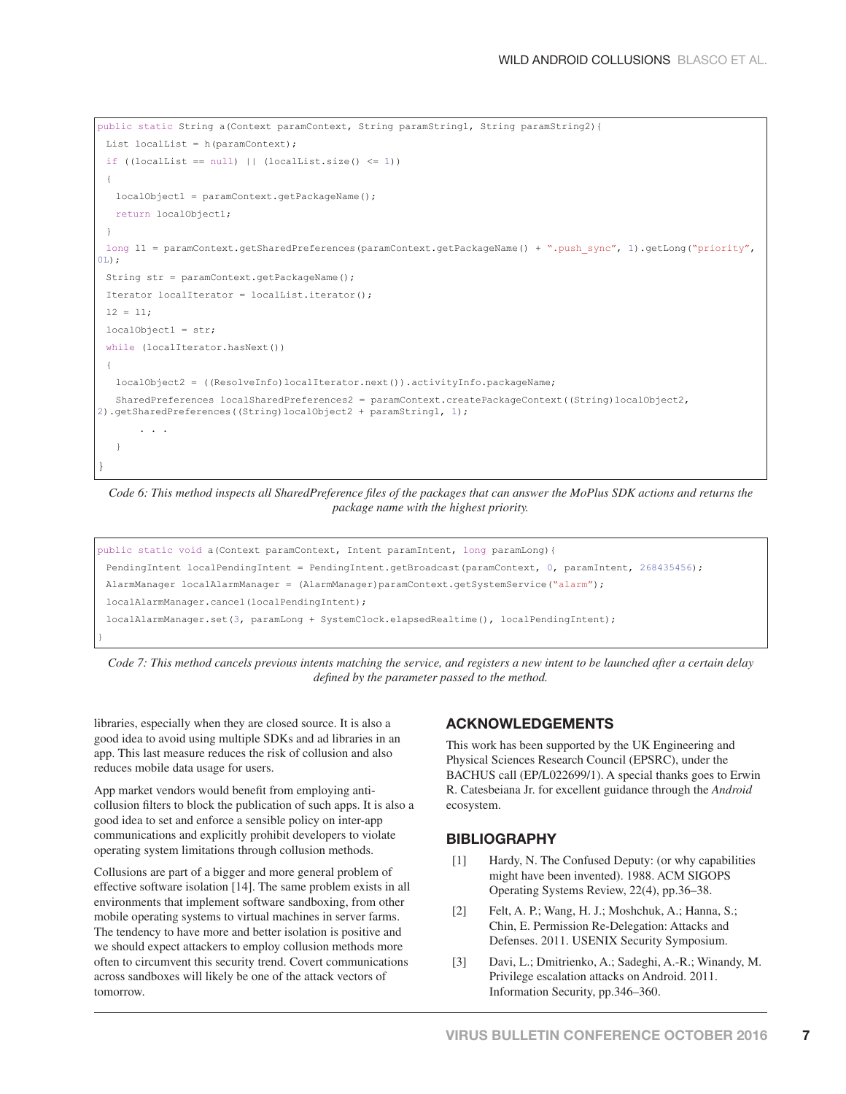```
public static String a(Context paramContext, String paramString1, String paramString2){
 List localList = h(paramContext);
 if ((localList == null) || (localList.size() <= 1))
 {
   localObject1 = paramContext.getPackageName();
   return localObject1;
 }
 long 11 = \text{paramContext.getSharedPreferences}(\text{paramContext.getBackground}) + ".push sync", 1).getLong("priority",0L);
  String str = paramContext.getPackageName();
  Iterator localIterator = localList.iterator();
 12 = 11; localObject1 = str;
 while (localIterator.hasNext())
 {
   localObject2 = ((ResolveInfo)localIterator.next()).activityInfo.packageName;
    SharedPreferences localSharedPreferences2 = paramContext.createPackageContext((String)localObject2, 
2).getSharedPreferences((String)localObject2 + paramString1, 1);
 . . . 
    }
}
```
*Code 6: This method inspects all SharedPreference files of the packages that can answer the MoPlus SDK actions and returns the package name with the highest priority.*

```
public static void a (Context paramContext, Intent paramIntent, long paramLong) {
 PendingIntent localPendingIntent = PendingIntent.getBroadcast(paramContext, 0, paramIntent, 268435456);
 AlarmManager localAlarmManager = (AlarmManager)paramContext.getSystemService("alarm");
  localAlarmManager.cancel(localPendingIntent);
  localAlarmManager.set(3, paramLong + SystemClock.elapsedRealtime(), localPendingIntent);
}
```
*Code 7: This method cancels previous intents matching the service, and registers a new intent to be launched after a certain delay defined by the parameter passed to the method.* 

libraries, especially when they are closed source. It is also a good idea to avoid using multiple SDKs and ad libraries in an app. This last measure reduces the risk of collusion and also reduces mobile data usage for users.

App market vendors would benefit from employing anticollusion filters to block the publication of such apps. It is also a good idea to set and enforce a sensible policy on inter-app communications and explicitly prohibit developers to violate operating system limitations through collusion methods.

Collusions are part of a bigger and more general problem of effective software isolation [14]. The same problem exists in all environments that implement software sandboxing, from other mobile operating systems to virtual machines in server farms. The tendency to have more and better isolation is positive and we should expect attackers to employ collusion methods more often to circumvent this security trend. Covert communications across sandboxes will likely be one of the attack vectors of tomorrow.

#### **ACKNOWLEDGEMENTS**

This work has been supported by the UK Engineering and Physical Sciences Research Council (EPSRC), under the BACHUS call (EP/L022699/1). A special thanks goes to Erwin R. Catesbeiana Jr. for excellent guidance through the *Android* ecosystem.

#### **BIBLIOGRAPHY**

- [1] Hardy, N. The Confused Deputy: (or why capabilities might have been invented). 1988. ACM SIGOPS Operating Systems Review, 22(4), pp.36–38.
- [2] Felt, A. P.; Wang, H. J.; Moshchuk, A.; Hanna, S.; Chin, E. Permission Re-Delegation: Attacks and Defenses. 2011. USENIX Security Symposium.
- [3] Davi, L.; Dmitrienko, A.; Sadeghi, A.-R.; Winandy, M. Privilege escalation attacks on Android. 2011. Information Security, pp.346–360.